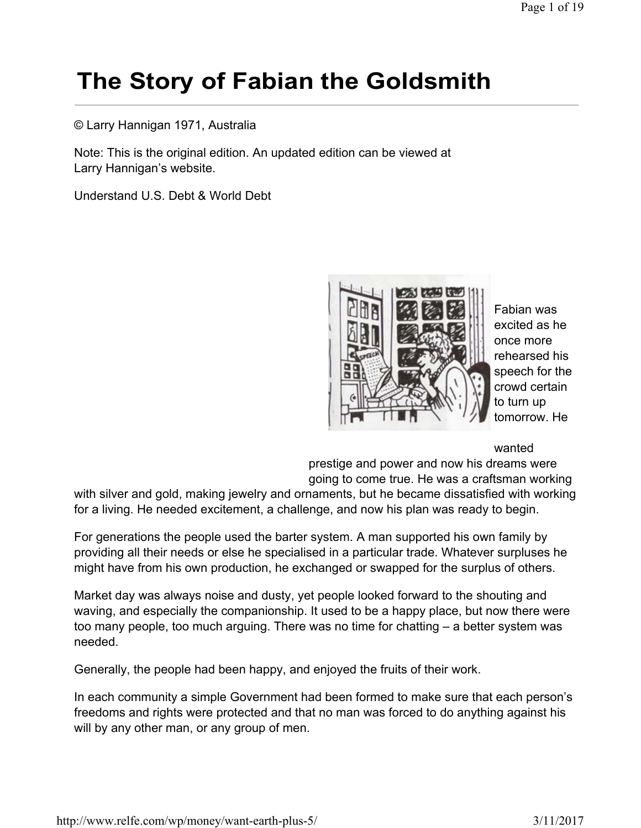# **The Story of Fabian the Goldsmith**

© Larry Hannigan 1971, Australia

Note: This is the original edition. An updated edition can be viewed at Larry Hannigan's website.

Understand U.S. Debt & World Debt



Fabian was excited as he once more rehearsed his speech for the crowd certain to turn up tomorrow. He

#### wanted

prestige and power and now his dreams were going to come true. He was a craftsman working

with silver and gold, making jewelry and ornaments, but he became dissatisfied with working for a living. He needed excitement, a challenge, and now his plan was ready to begin.

For generations the people used the barter system. A man supported his own family by providing all their needs or else he specialised in a particular trade. Whatever surpluses he might have from his own production, he exchanged or swapped for the surplus of others.

Market day was always noise and dusty, yet people looked forward to the shouting and waving, and especially the companionship. It used to be a happy place, but now there were too many people, too much arguing. There was no time for chatting – a better system was needed.

Generally, the people had been happy, and enjoyed the fruits of their work.

In each community a simple Government had been formed to make sure that each person's freedoms and rights were protected and that no man was forced to do anything against his will by any other man, or any group of men.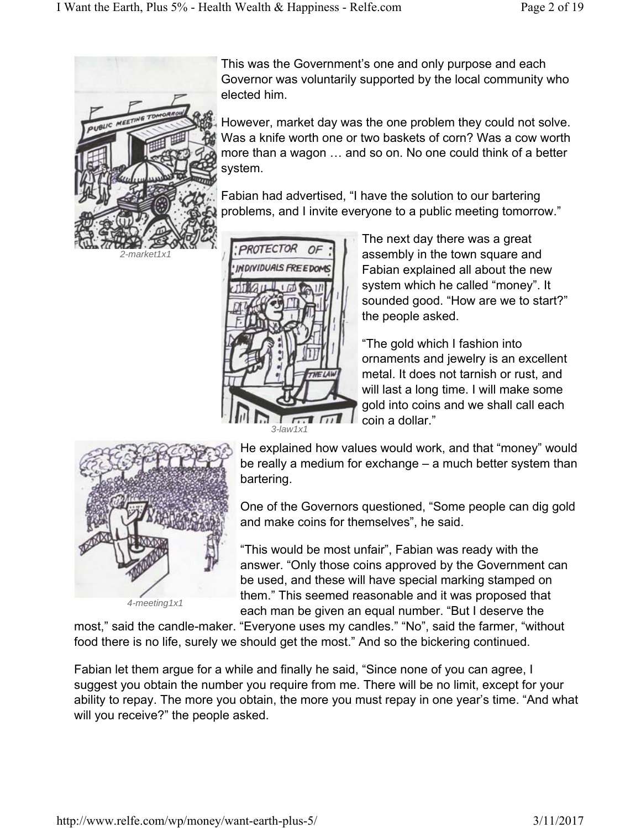

*2-market1x1*

This was the Government's one and only purpose and each Governor was voluntarily supported by the local community who elected him.

However, market day was the one problem they could not solve. Was a knife worth one or two baskets of corn? Was a cow worth more than a wagon … and so on. No one could think of a better system.

Fabian had advertised, "I have the solution to our bartering problems, and I invite everyone to a public meeting tomorrow."



The next day there was a great assembly in the town square and Fabian explained all about the new system which he called "money". It sounded good. "How are we to start?" the people asked.

"The gold which I fashion into ornaments and jewelry is an excellent metal. It does not tarnish or rust, and will last a long time. I will make some gold into coins and we shall call each coin a dollar."



*4-meeting1x1*

He explained how values would work, and that "money" would be really a medium for exchange – a much better system than bartering.

One of the Governors questioned, "Some people can dig gold and make coins for themselves", he said.

"This would be most unfair", Fabian was ready with the answer. "Only those coins approved by the Government can be used, and these will have special marking stamped on them." This seemed reasonable and it was proposed that each man be given an equal number. "But I deserve the

most," said the candle-maker. "Everyone uses my candles." "No", said the farmer, "without food there is no life, surely we should get the most." And so the bickering continued.

Fabian let them argue for a while and finally he said, "Since none of you can agree, I suggest you obtain the number you require from me. There will be no limit, except for your ability to repay. The more you obtain, the more you must repay in one year's time. "And what will you receive?" the people asked.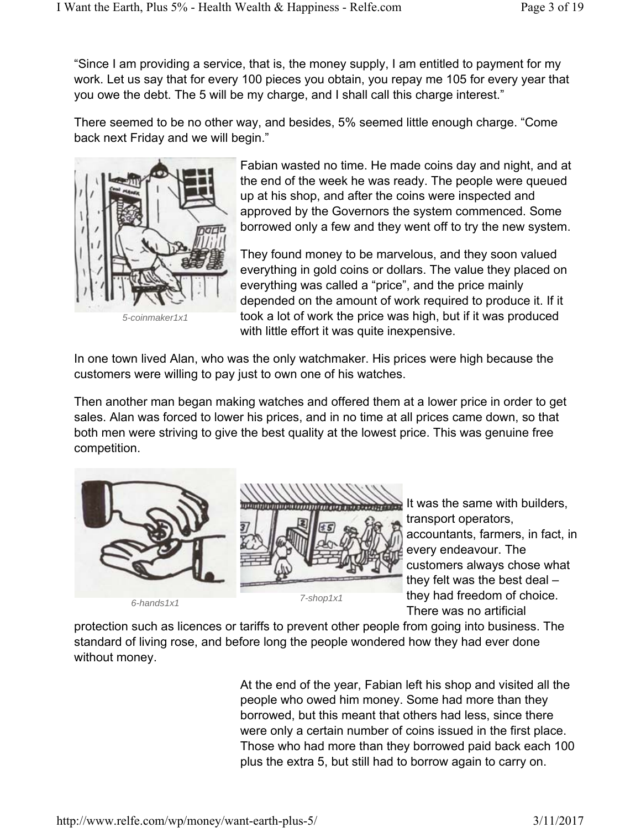"Since I am providing a service, that is, the money supply, I am entitled to payment for my work. Let us say that for every 100 pieces you obtain, you repay me 105 for every year that you owe the debt. The 5 will be my charge, and I shall call this charge interest."

There seemed to be no other way, and besides, 5% seemed little enough charge. "Come back next Friday and we will begin."



*5-coinmaker1x1*

Fabian wasted no time. He made coins day and night, and at the end of the week he was ready. The people were queued up at his shop, and after the coins were inspected and approved by the Governors the system commenced. Some borrowed only a few and they went off to try the new system.

They found money to be marvelous, and they soon valued everything in gold coins or dollars. The value they placed on everything was called a "price", and the price mainly depended on the amount of work required to produce it. If it took a lot of work the price was high, but if it was produced with little effort it was quite inexpensive.

In one town lived Alan, who was the only watchmaker. His prices were high because the customers were willing to pay just to own one of his watches.

Then another man began making watches and offered them at a lower price in order to get sales. Alan was forced to lower his prices, and in no time at all prices came down, so that both men were striving to give the best quality at the lowest price. This was genuine free competition.



It was the same with builders, transport operators, accountants, farmers, in fact, in every endeavour. The customers always chose what they felt was the best deal – they had freedom of choice. There was no artificial

protection such as licences or tariffs to prevent other people from going into business. The standard of living rose, and before long the people wondered how they had ever done without money.

> At the end of the year, Fabian left his shop and visited all the people who owed him money. Some had more than they borrowed, but this meant that others had less, since there were only a certain number of coins issued in the first place. Those who had more than they borrowed paid back each 100 plus the extra 5, but still had to borrow again to carry on.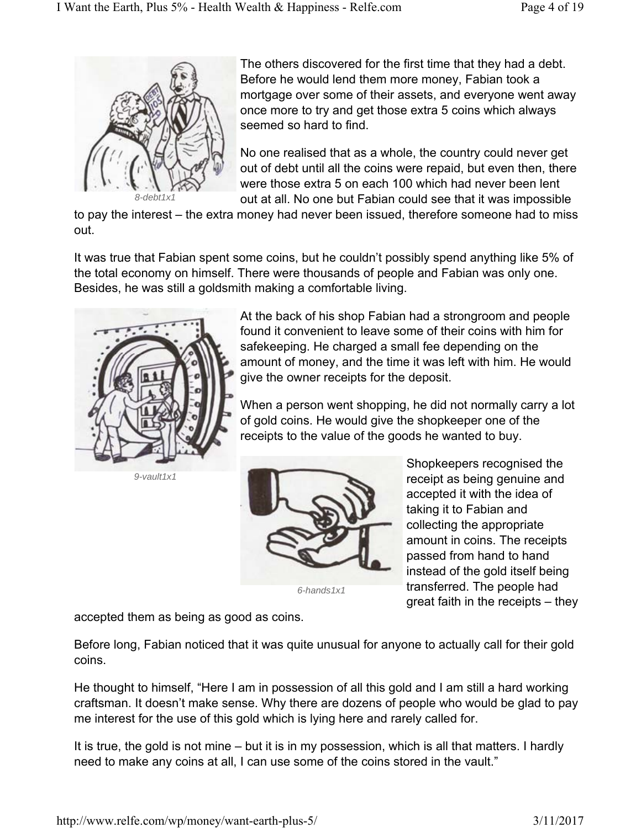

*8-debt1x1*

The others discovered for the first time that they had a debt. Before he would lend them more money, Fabian took a mortgage over some of their assets, and everyone went away once more to try and get those extra 5 coins which always seemed so hard to find.

No one realised that as a whole, the country could never get out of debt until all the coins were repaid, but even then, there were those extra 5 on each 100 which had never been lent out at all. No one but Fabian could see that it was impossible

to pay the interest – the extra money had never been issued, therefore someone had to miss out.

It was true that Fabian spent some coins, but he couldn't possibly spend anything like 5% of the total economy on himself. There were thousands of people and Fabian was only one. Besides, he was still a goldsmith making a comfortable living.



*9-vault1x1*

At the back of his shop Fabian had a strongroom and people found it convenient to leave some of their coins with him for safekeeping. He charged a small fee depending on the amount of money, and the time it was left with him. He would give the owner receipts for the deposit.

When a person went shopping, he did not normally carry a lot of gold coins. He would give the shopkeeper one of the receipts to the value of the goods he wanted to buy.



*6-hands1x1*

Shopkeepers recognised the receipt as being genuine and accepted it with the idea of taking it to Fabian and collecting the appropriate amount in coins. The receipts passed from hand to hand instead of the gold itself being transferred. The people had great faith in the receipts – they

accepted them as being as good as coins.

Before long, Fabian noticed that it was quite unusual for anyone to actually call for their gold coins.

He thought to himself, "Here I am in possession of all this gold and I am still a hard working craftsman. It doesn't make sense. Why there are dozens of people who would be glad to pay me interest for the use of this gold which is lying here and rarely called for.

It is true, the gold is not mine – but it is in my possession, which is all that matters. I hardly need to make any coins at all, I can use some of the coins stored in the vault."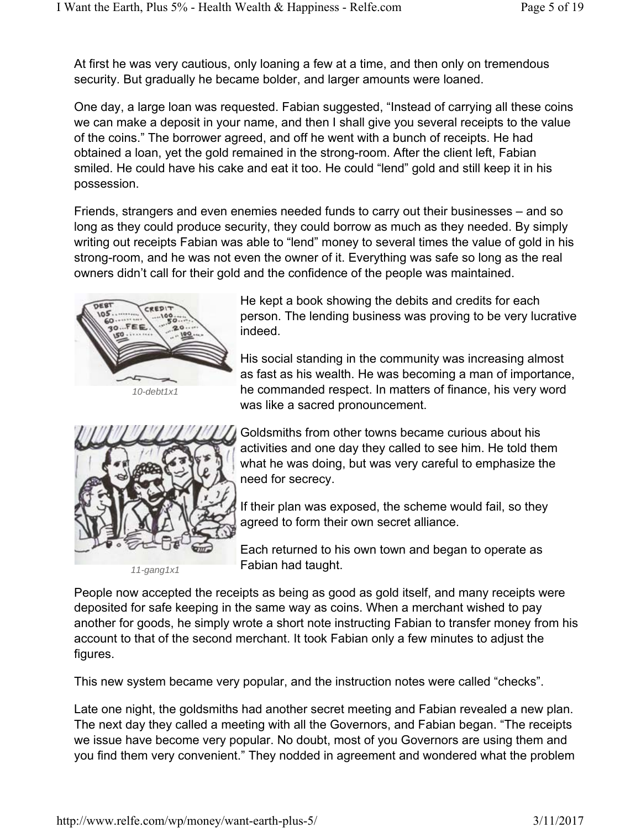At first he was very cautious, only loaning a few at a time, and then only on tremendous security. But gradually he became bolder, and larger amounts were loaned.

One day, a large loan was requested. Fabian suggested, "Instead of carrying all these coins we can make a deposit in your name, and then I shall give you several receipts to the value of the coins." The borrower agreed, and off he went with a bunch of receipts. He had obtained a loan, yet the gold remained in the strong-room. After the client left, Fabian smiled. He could have his cake and eat it too. He could "lend" gold and still keep it in his possession.

Friends, strangers and even enemies needed funds to carry out their businesses – and so long as they could produce security, they could borrow as much as they needed. By simply writing out receipts Fabian was able to "lend" money to several times the value of gold in his strong-room, and he was not even the owner of it. Everything was safe so long as the real owners didn't call for their gold and the confidence of the people was maintained.



*10-debt1x1*

He kept a book showing the debits and credits for each person. The lending business was proving to be very lucrative indeed.

His social standing in the community was increasing almost as fast as his wealth. He was becoming a man of importance, he commanded respect. In matters of finance, his very word was like a sacred pronouncement.



*11-gang1x1*

Goldsmiths from other towns became curious about his activities and one day they called to see him. He told them what he was doing, but was very careful to emphasize the need for secrecy.

If their plan was exposed, the scheme would fail, so they agreed to form their own secret alliance.

Each returned to his own town and began to operate as Fabian had taught.

People now accepted the receipts as being as good as gold itself, and many receipts were deposited for safe keeping in the same way as coins. When a merchant wished to pay another for goods, he simply wrote a short note instructing Fabian to transfer money from his account to that of the second merchant. It took Fabian only a few minutes to adjust the figures.

This new system became very popular, and the instruction notes were called "checks".

Late one night, the goldsmiths had another secret meeting and Fabian revealed a new plan. The next day they called a meeting with all the Governors, and Fabian began. "The receipts we issue have become very popular. No doubt, most of you Governors are using them and you find them very convenient." They nodded in agreement and wondered what the problem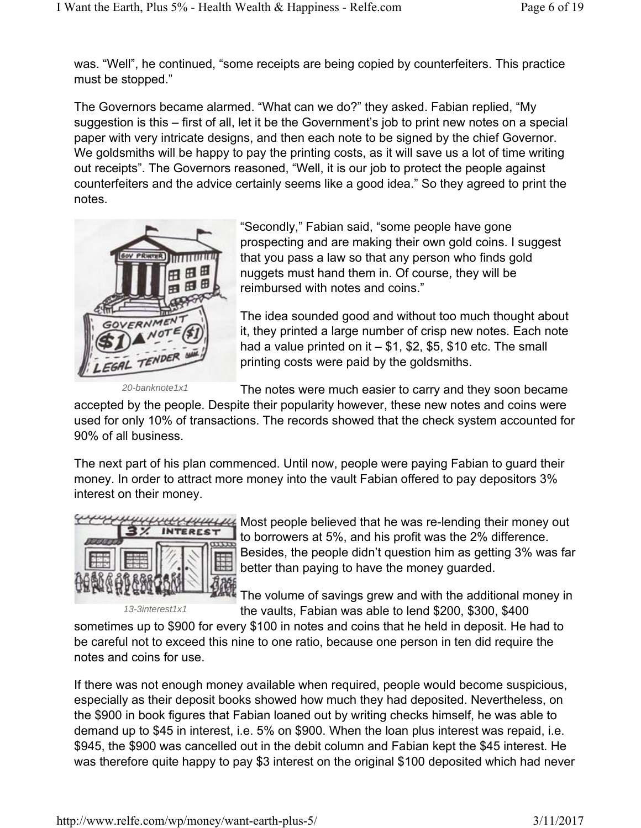was. "Well", he continued, "some receipts are being copied by counterfeiters. This practice must be stopped."

The Governors became alarmed. "What can we do?" they asked. Fabian replied, "My suggestion is this – first of all, let it be the Government's job to print new notes on a special paper with very intricate designs, and then each note to be signed by the chief Governor. We goldsmiths will be happy to pay the printing costs, as it will save us a lot of time writing out receipts". The Governors reasoned, "Well, it is our job to protect the people against counterfeiters and the advice certainly seems like a good idea." So they agreed to print the notes.



"Secondly," Fabian said, "some people have gone prospecting and are making their own gold coins. I suggest that you pass a law so that any person who finds gold nuggets must hand them in. Of course, they will be reimbursed with notes and coins."

The idea sounded good and without too much thought about it, they printed a large number of crisp new notes. Each note had a value printed on it  $-$  \$1, \$2, \$5, \$10 etc. The small printing costs were paid by the goldsmiths.

*20-banknote1x1*

The notes were much easier to carry and they soon became

accepted by the people. Despite their popularity however, these new notes and coins were used for only 10% of transactions. The records showed that the check system accounted for 90% of all business.

The next part of his plan commenced. Until now, people were paying Fabian to guard their money. In order to attract more money into the vault Fabian offered to pay depositors 3% interest on their money.



*13-3interest1x1*

Here we have believed that he was re-lending their money out to borrowers at 5%, and his profit was the 2% difference. Besides, the people didn't question him as getting 3% was far better than paying to have the money guarded.

> The volume of savings grew and with the additional money in the vaults, Fabian was able to lend \$200, \$300, \$400

sometimes up to \$900 for every \$100 in notes and coins that he held in deposit. He had to be careful not to exceed this nine to one ratio, because one person in ten did require the notes and coins for use.

If there was not enough money available when required, people would become suspicious, especially as their deposit books showed how much they had deposited. Nevertheless, on the \$900 in book figures that Fabian loaned out by writing checks himself, he was able to demand up to \$45 in interest, i.e. 5% on \$900. When the loan plus interest was repaid, i.e. \$945, the \$900 was cancelled out in the debit column and Fabian kept the \$45 interest. He was therefore quite happy to pay \$3 interest on the original \$100 deposited which had never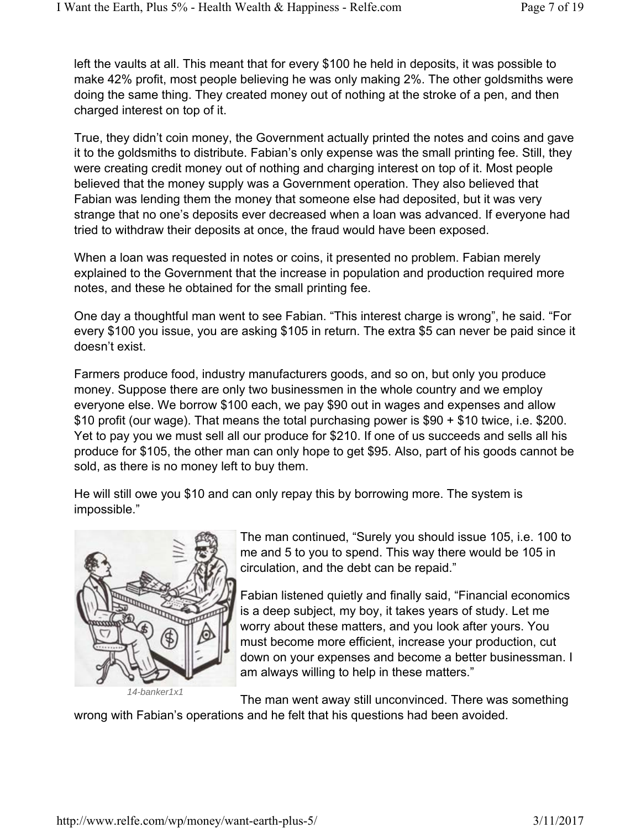left the vaults at all. This meant that for every \$100 he held in deposits, it was possible to make 42% profit, most people believing he was only making 2%. The other goldsmiths were doing the same thing. They created money out of nothing at the stroke of a pen, and then charged interest on top of it.

True, they didn't coin money, the Government actually printed the notes and coins and gave it to the goldsmiths to distribute. Fabian's only expense was the small printing fee. Still, they were creating credit money out of nothing and charging interest on top of it. Most people believed that the money supply was a Government operation. They also believed that Fabian was lending them the money that someone else had deposited, but it was very strange that no one's deposits ever decreased when a loan was advanced. If everyone had tried to withdraw their deposits at once, the fraud would have been exposed.

When a loan was requested in notes or coins, it presented no problem. Fabian merely explained to the Government that the increase in population and production required more notes, and these he obtained for the small printing fee.

One day a thoughtful man went to see Fabian. "This interest charge is wrong", he said. "For every \$100 you issue, you are asking \$105 in return. The extra \$5 can never be paid since it doesn't exist.

Farmers produce food, industry manufacturers goods, and so on, but only you produce money. Suppose there are only two businessmen in the whole country and we employ everyone else. We borrow \$100 each, we pay \$90 out in wages and expenses and allow \$10 profit (our wage). That means the total purchasing power is \$90 + \$10 twice, i.e. \$200. Yet to pay you we must sell all our produce for \$210. If one of us succeeds and sells all his produce for \$105, the other man can only hope to get \$95. Also, part of his goods cannot be sold, as there is no money left to buy them.

He will still owe you \$10 and can only repay this by borrowing more. The system is impossible."



The man continued, "Surely you should issue 105, i.e. 100 to me and 5 to you to spend. This way there would be 105 in circulation, and the debt can be repaid."

Fabian listened quietly and finally said, "Financial economics is a deep subject, my boy, it takes years of study. Let me worry about these matters, and you look after yours. You must become more efficient, increase your production, cut down on your expenses and become a better businessman. I am always willing to help in these matters."

*14-banker1x1* The man went away still unconvinced. There was something wrong with Fabian's operations and he felt that his questions had been avoided.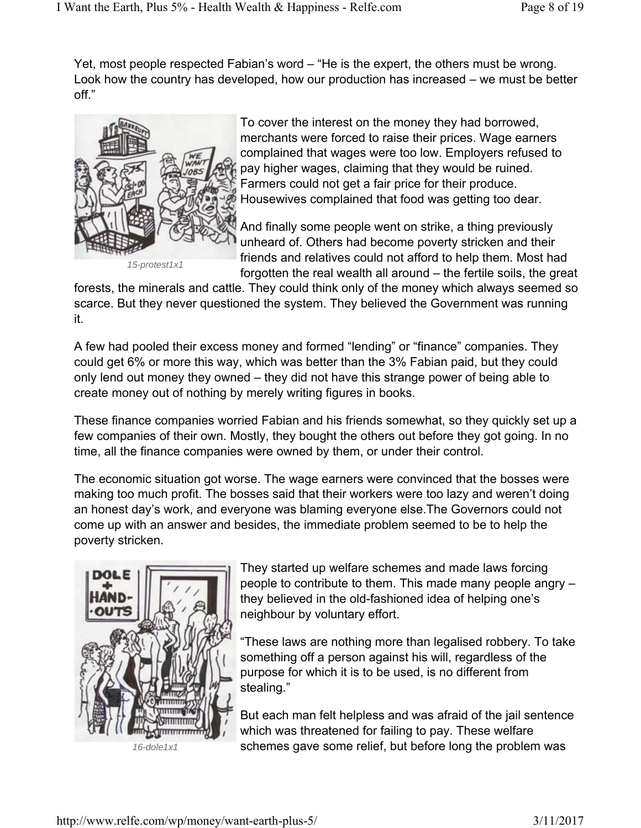Yet, most people respected Fabian's word – "He is the expert, the others must be wrong. Look how the country has developed, how our production has increased – we must be better off."



*15-protest1x1*

To cover the interest on the money they had borrowed, merchants were forced to raise their prices. Wage earners complained that wages were too low. Employers refused to pay higher wages, claiming that they would be ruined. Farmers could not get a fair price for their produce. Housewives complained that food was getting too dear.

And finally some people went on strike, a thing previously unheard of. Others had become poverty stricken and their friends and relatives could not afford to help them. Most had forgotten the real wealth all around – the fertile soils, the great

forests, the minerals and cattle. They could think only of the money which always seemed so scarce. But they never questioned the system. They believed the Government was running it.

A few had pooled their excess money and formed "lending" or "finance" companies. They could get 6% or more this way, which was better than the 3% Fabian paid, but they could only lend out money they owned – they did not have this strange power of being able to create money out of nothing by merely writing figures in books.

These finance companies worried Fabian and his friends somewhat, so they quickly set up a few companies of their own. Mostly, they bought the others out before they got going. In no time, all the finance companies were owned by them, or under their control.

The economic situation got worse. The wage earners were convinced that the bosses were making too much profit. The bosses said that their workers were too lazy and weren't doing an honest day's work, and everyone was blaming everyone else.The Governors could not come up with an answer and besides, the immediate problem seemed to be to help the poverty stricken.



*16-dole1x1*

They started up welfare schemes and made laws forcing people to contribute to them. This made many people angry – they believed in the old-fashioned idea of helping one's neighbour by voluntary effort.

"These laws are nothing more than legalised robbery. To take something off a person against his will, regardless of the purpose for which it is to be used, is no different from stealing."

But each man felt helpless and was afraid of the jail sentence which was threatened for failing to pay. These welfare schemes gave some relief, but before long the problem was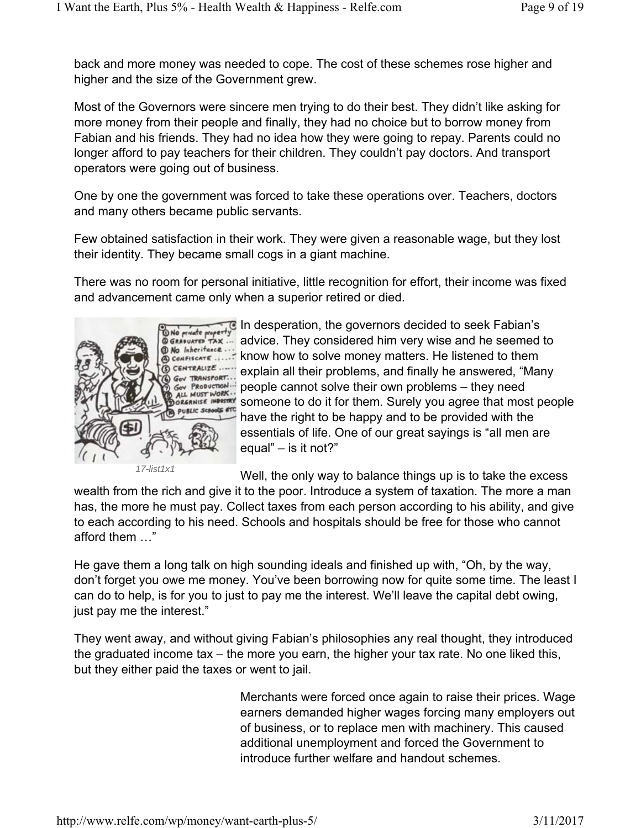back and more money was needed to cope. The cost of these schemes rose higher and higher and the size of the Government grew.

Most of the Governors were sincere men trying to do their best. They didn't like asking for more money from their people and finally, they had no choice but to borrow money from Fabian and his friends. They had no idea how they were going to repay. Parents could no longer afford to pay teachers for their children. They couldn't pay doctors. And transport operators were going out of business.

One by one the government was forced to take these operations over. Teachers, doctors and many others became public servants.

Few obtained satisfaction in their work. They were given a reasonable wage, but they lost their identity. They became small cogs in a giant machine.

There was no room for personal initiative, little recognition for effort, their income was fixed and advancement came only when a superior retired or died.



In desperation, the governors decided to seek Fabian's advice. They considered him very wise and he seemed to know how to solve money matters. He listened to them explain all their problems, and finally he answered, "Many people cannot solve their own problems – they need someone to do it for them. Surely you agree that most people have the right to be happy and to be provided with the essentials of life. One of our great sayings is "all men are equal" – is it not?"

Well, the only way to balance things up is to take the excess

wealth from the rich and give it to the poor. Introduce a system of taxation. The more a man has, the more he must pay. Collect taxes from each person according to his ability, and give to each according to his need. Schools and hospitals should be free for those who cannot afford them …"

He gave them a long talk on high sounding ideals and finished up with, "Oh, by the way, don't forget you owe me money. You've been borrowing now for quite some time. The least I can do to help, is for you to just to pay me the interest. We'll leave the capital debt owing, just pay me the interest."

They went away, and without giving Fabian's philosophies any real thought, they introduced the graduated income tax – the more you earn, the higher your tax rate. No one liked this, but they either paid the taxes or went to jail.

> Merchants were forced once again to raise their prices. Wage earners demanded higher wages forcing many employers out of business, or to replace men with machinery. This caused additional unemployment and forced the Government to introduce further welfare and handout schemes.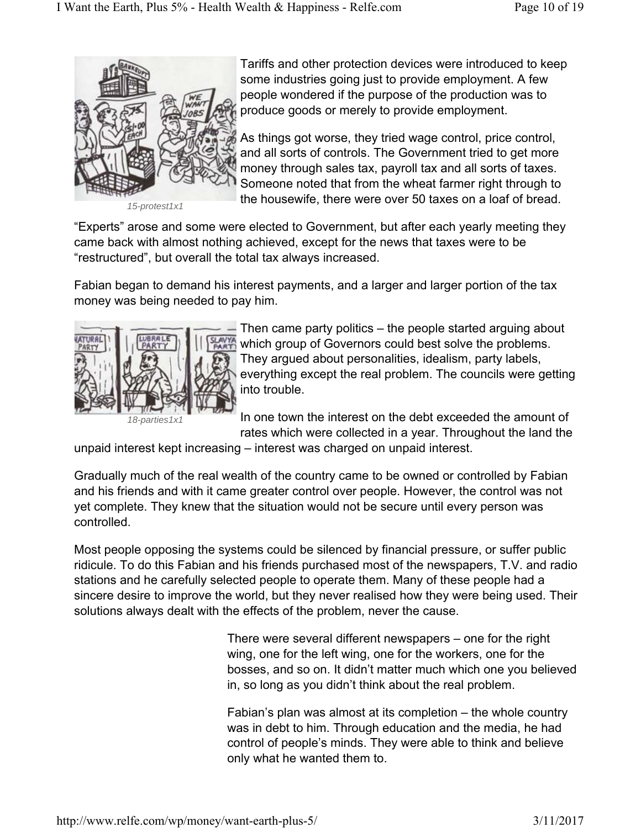

*15-protest1x1*

Tariffs and other protection devices were introduced to keep some industries going just to provide employment. A few people wondered if the purpose of the production was to produce goods or merely to provide employment.

As things got worse, they tried wage control, price control, and all sorts of controls. The Government tried to get more money through sales tax, payroll tax and all sorts of taxes. Someone noted that from the wheat farmer right through to the housewife, there were over 50 taxes on a loaf of bread.

"Experts" arose and some were elected to Government, but after each yearly meeting they came back with almost nothing achieved, except for the news that taxes were to be "restructured", but overall the total tax always increased.

Fabian began to demand his interest payments, and a larger and larger portion of the tax money was being needed to pay him.



Then came party politics – the people started arguing about which group of Governors could best solve the problems. They argued about personalities, idealism, party labels, everything except the real problem. The councils were getting into trouble.

In one town the interest on the debt exceeded the amount of rates which were collected in a year. Throughout the land the

unpaid interest kept increasing – interest was charged on unpaid interest.

Gradually much of the real wealth of the country came to be owned or controlled by Fabian and his friends and with it came greater control over people. However, the control was not yet complete. They knew that the situation would not be secure until every person was controlled.

Most people opposing the systems could be silenced by financial pressure, or suffer public ridicule. To do this Fabian and his friends purchased most of the newspapers, T.V. and radio stations and he carefully selected people to operate them. Many of these people had a sincere desire to improve the world, but they never realised how they were being used. Their solutions always dealt with the effects of the problem, never the cause.

> There were several different newspapers – one for the right wing, one for the left wing, one for the workers, one for the bosses, and so on. It didn't matter much which one you believed in, so long as you didn't think about the real problem.

Fabian's plan was almost at its completion – the whole country was in debt to him. Through education and the media, he had control of people's minds. They were able to think and believe only what he wanted them to.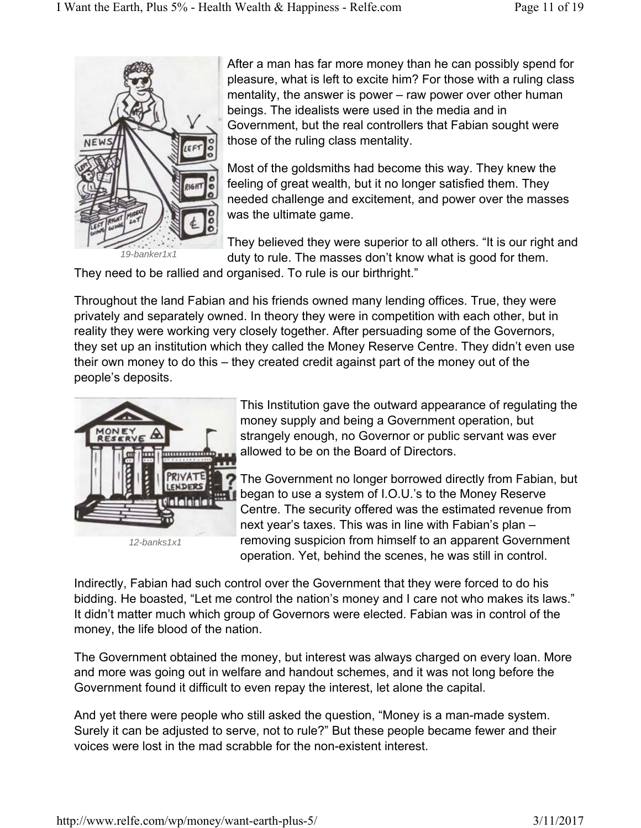

After a man has far more money than he can possibly spend for pleasure, what is left to excite him? For those with a ruling class mentality, the answer is power – raw power over other human beings. The idealists were used in the media and in Government, but the real controllers that Fabian sought were those of the ruling class mentality.

Most of the goldsmiths had become this way. They knew the feeling of great wealth, but it no longer satisfied them. They needed challenge and excitement, and power over the masses was the ultimate game.

They believed they were superior to all others. "It is our right and duty to rule. The masses don't know what is good for them.

They need to be rallied and organised. To rule is our birthright."

Throughout the land Fabian and his friends owned many lending offices. True, they were privately and separately owned. In theory they were in competition with each other, but in reality they were working very closely together. After persuading some of the Governors, they set up an institution which they called the Money Reserve Centre. They didn't even use their own money to do this – they created credit against part of the money out of the people's deposits.



*12-banks1x1*

This Institution gave the outward appearance of regulating the money supply and being a Government operation, but strangely enough, no Governor or public servant was ever allowed to be on the Board of Directors.

The Government no longer borrowed directly from Fabian, but began to use a system of I.O.U.'s to the Money Reserve Centre. The security offered was the estimated revenue from next year's taxes. This was in line with Fabian's plan – removing suspicion from himself to an apparent Government operation. Yet, behind the scenes, he was still in control.

Indirectly, Fabian had such control over the Government that they were forced to do his bidding. He boasted, "Let me control the nation's money and I care not who makes its laws." It didn't matter much which group of Governors were elected. Fabian was in control of the money, the life blood of the nation.

The Government obtained the money, but interest was always charged on every loan. More and more was going out in welfare and handout schemes, and it was not long before the Government found it difficult to even repay the interest, let alone the capital.

And yet there were people who still asked the question, "Money is a man-made system. Surely it can be adjusted to serve, not to rule?" But these people became fewer and their voices were lost in the mad scrabble for the non-existent interest.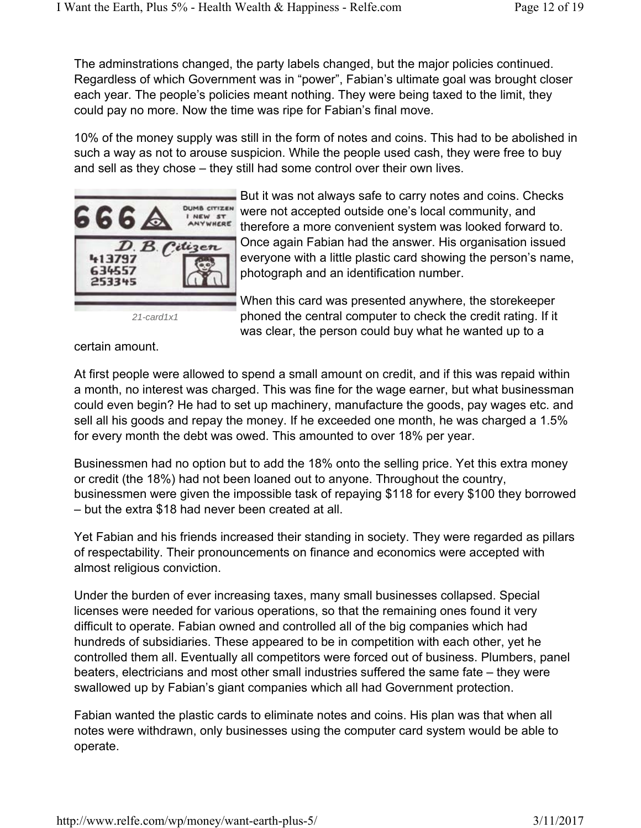The adminstrations changed, the party labels changed, but the major policies continued. Regardless of which Government was in "power", Fabian's ultimate goal was brought closer each year. The people's policies meant nothing. They were being taxed to the limit, they could pay no more. Now the time was ripe for Fabian's final move.

10% of the money supply was still in the form of notes and coins. This had to be abolished in such a way as not to arouse suspicion. While the people used cash, they were free to buy and sell as they chose – they still had some control over their own lives.



*21-card1x1*

But it was not always safe to carry notes and coins. Checks were not accepted outside one's local community, and therefore a more convenient system was looked forward to. Once again Fabian had the answer. His organisation issued everyone with a little plastic card showing the person's name, photograph and an identification number.

When this card was presented anywhere, the storekeeper phoned the central computer to check the credit rating. If it was clear, the person could buy what he wanted up to a

certain amount.

At first people were allowed to spend a small amount on credit, and if this was repaid within a month, no interest was charged. This was fine for the wage earner, but what businessman could even begin? He had to set up machinery, manufacture the goods, pay wages etc. and sell all his goods and repay the money. If he exceeded one month, he was charged a 1.5% for every month the debt was owed. This amounted to over 18% per year.

Businessmen had no option but to add the 18% onto the selling price. Yet this extra money or credit (the 18%) had not been loaned out to anyone. Throughout the country, businessmen were given the impossible task of repaying \$118 for every \$100 they borrowed – but the extra \$18 had never been created at all.

Yet Fabian and his friends increased their standing in society. They were regarded as pillars of respectability. Their pronouncements on finance and economics were accepted with almost religious conviction.

Under the burden of ever increasing taxes, many small businesses collapsed. Special licenses were needed for various operations, so that the remaining ones found it very difficult to operate. Fabian owned and controlled all of the big companies which had hundreds of subsidiaries. These appeared to be in competition with each other, yet he controlled them all. Eventually all competitors were forced out of business. Plumbers, panel beaters, electricians and most other small industries suffered the same fate – they were swallowed up by Fabian's giant companies which all had Government protection.

Fabian wanted the plastic cards to eliminate notes and coins. His plan was that when all notes were withdrawn, only businesses using the computer card system would be able to operate.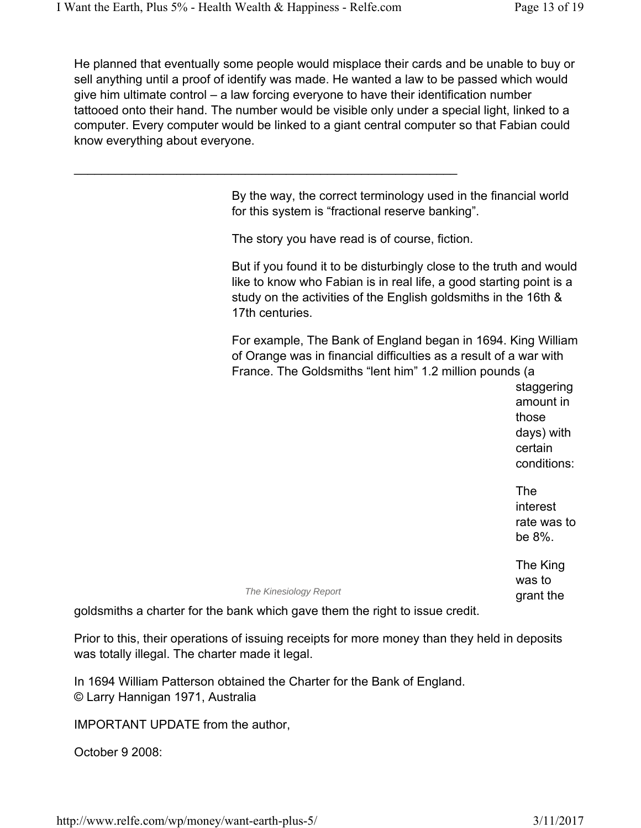\_\_\_\_\_\_\_\_\_\_\_\_\_\_\_\_\_\_\_\_\_\_\_\_\_\_\_\_\_\_\_\_\_\_\_\_\_\_\_\_\_\_\_\_\_\_\_\_\_\_\_\_\_\_\_\_

He planned that eventually some people would misplace their cards and be unable to buy or sell anything until a proof of identify was made. He wanted a law to be passed which would give him ultimate control – a law forcing everyone to have their identification number tattooed onto their hand. The number would be visible only under a special light, linked to a computer. Every computer would be linked to a giant central computer so that Fabian could know everything about everyone.

> By the way, the correct terminology used in the financial world for this system is "fractional reserve banking".

The story you have read is of course, fiction.

But if you found it to be disturbingly close to the truth and would like to know who Fabian is in real life, a good starting point is a study on the activities of the English goldsmiths in the 16th & 17th centuries.

For example, The Bank of England began in 1694. King William of Orange was in financial difficulties as a result of a war with France. The Goldsmiths "lent him" 1.2 million pounds (a

> staggering amount in those days) with certain conditions:

The interest rate was to be 8%.

The King was to grant the

*The Kinesiology Report*

goldsmiths a charter for the bank which gave them the right to issue credit.

Prior to this, their operations of issuing receipts for more money than they held in deposits was totally illegal. The charter made it legal.

In 1694 William Patterson obtained the Charter for the Bank of England. © Larry Hannigan 1971, Australia

IMPORTANT UPDATE from the author,

October 9 2008: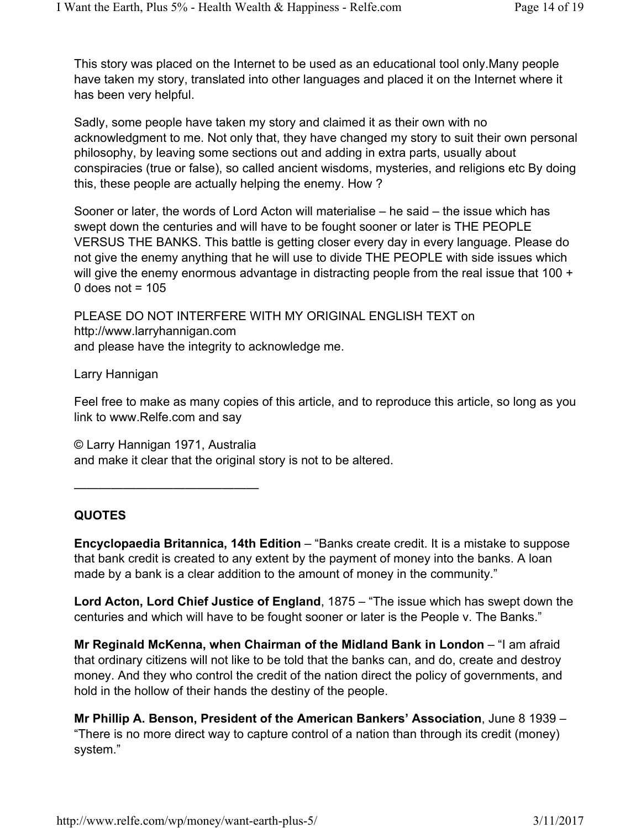This story was placed on the Internet to be used as an educational tool only.Many people have taken my story, translated into other languages and placed it on the Internet where it has been very helpful.

Sadly, some people have taken my story and claimed it as their own with no acknowledgment to me. Not only that, they have changed my story to suit their own personal philosophy, by leaving some sections out and adding in extra parts, usually about conspiracies (true or false), so called ancient wisdoms, mysteries, and religions etc By doing this, these people are actually helping the enemy. How ?

Sooner or later, the words of Lord Acton will materialise – he said – the issue which has swept down the centuries and will have to be fought sooner or later is THE PEOPLE VERSUS THE BANKS. This battle is getting closer every day in every language. Please do not give the enemy anything that he will use to divide THE PEOPLE with side issues which will give the enemy enormous advantage in distracting people from the real issue that 100 + 0 does not  $= 105$ 

PLEASE DO NOT INTERFERE WITH MY ORIGINAL ENGLISH TEXT on http://www.larryhannigan.com and please have the integrity to acknowledge me.

Larry Hannigan

Feel free to make as many copies of this article, and to reproduce this article, so long as you link to www.Relfe.com and say

© Larry Hannigan 1971, Australia and make it clear that the original story is not to be altered.

#### **QUOTES**

———————————————

**Encyclopaedia Britannica, 14th Edition** – "Banks create credit. It is a mistake to suppose that bank credit is created to any extent by the payment of money into the banks. A loan made by a bank is a clear addition to the amount of money in the community."

**Lord Acton, Lord Chief Justice of England**, 1875 – "The issue which has swept down the centuries and which will have to be fought sooner or later is the People v. The Banks."

**Mr Reginald McKenna, when Chairman of the Midland Bank in London** – "I am afraid that ordinary citizens will not like to be told that the banks can, and do, create and destroy money. And they who control the credit of the nation direct the policy of governments, and hold in the hollow of their hands the destiny of the people.

**Mr Phillip A. Benson, President of the American Bankers' Association**, June 8 1939 – "There is no more direct way to capture control of a nation than through its credit (money) system."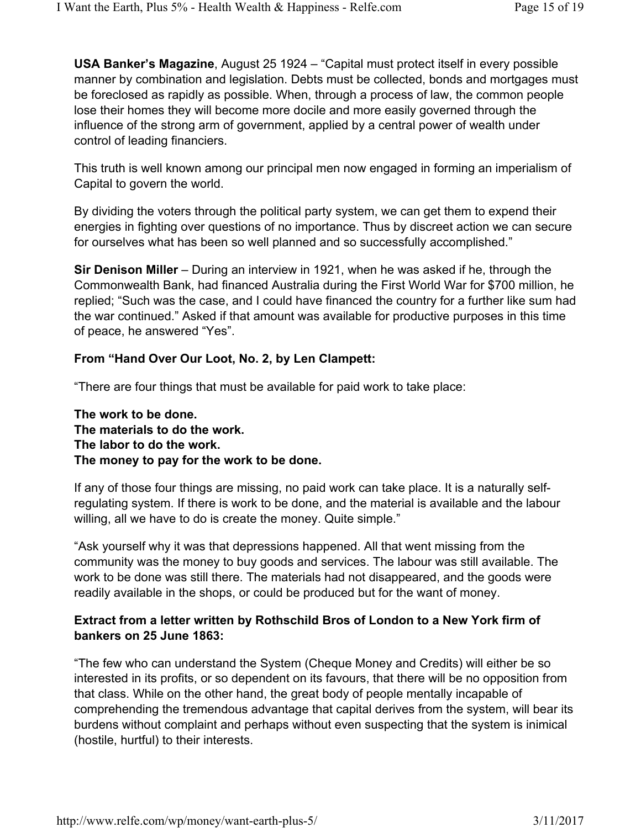**USA Banker's Magazine**, August 25 1924 – "Capital must protect itself in every possible manner by combination and legislation. Debts must be collected, bonds and mortgages must be foreclosed as rapidly as possible. When, through a process of law, the common people lose their homes they will become more docile and more easily governed through the influence of the strong arm of government, applied by a central power of wealth under control of leading financiers.

This truth is well known among our principal men now engaged in forming an imperialism of Capital to govern the world.

By dividing the voters through the political party system, we can get them to expend their energies in fighting over questions of no importance. Thus by discreet action we can secure for ourselves what has been so well planned and so successfully accomplished."

**Sir Denison Miller** – During an interview in 1921, when he was asked if he, through the Commonwealth Bank, had financed Australia during the First World War for \$700 million, he replied; "Such was the case, and I could have financed the country for a further like sum had the war continued." Asked if that amount was available for productive purposes in this time of peace, he answered "Yes".

# **From "Hand Over Our Loot, No. 2, by Len Clampett:**

"There are four things that must be available for paid work to take place:

## **The work to be done. The materials to do the work. The labor to do the work. The money to pay for the work to be done.**

If any of those four things are missing, no paid work can take place. It is a naturally selfregulating system. If there is work to be done, and the material is available and the labour willing, all we have to do is create the money. Quite simple."

"Ask yourself why it was that depressions happened. All that went missing from the community was the money to buy goods and services. The labour was still available. The work to be done was still there. The materials had not disappeared, and the goods were readily available in the shops, or could be produced but for the want of money.

## **Extract from a letter written by Rothschild Bros of London to a New York firm of bankers on 25 June 1863:**

"The few who can understand the System (Cheque Money and Credits) will either be so interested in its profits, or so dependent on its favours, that there will be no opposition from that class. While on the other hand, the great body of people mentally incapable of comprehending the tremendous advantage that capital derives from the system, will bear its burdens without complaint and perhaps without even suspecting that the system is inimical (hostile, hurtful) to their interests.